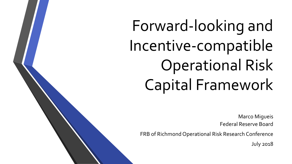Forward-looking and Incentive-compatible Operational Risk Capital Framework

> Marco Migueis Federal Reserve Board

FRB of Richmond Operational Risk Research Conference

July 2018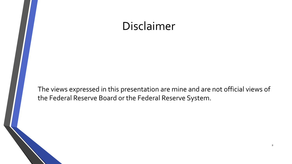#### Disclaimer

The views expressed in this presentation are mine and are not official views of the Federal Reserve Board or the Federal Reserve System.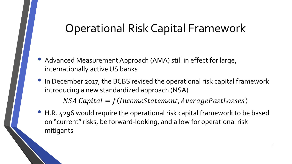## Operational Risk Capital Framework

- Advanced Measurement Approach (AMA) still in effect for large, internationally active US banks
- In December 2017, the BCBS revised the operational risk capital framework introducing a new standardized approach (NSA)

 $NSA Capital = f(IncomeStatement, Average PastLoss)$ 

• H.R. 4296 would require the operational risk capital framework to be based on "current" risks, be forward-looking, and allow for operational risk mitigants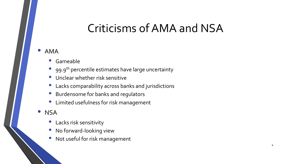## Criticisms of AMA and NSA

#### • AMA

- Gameable
- 99.9<sup>th</sup> percentile estimates have large uncertainty
- Unclear whether risk sensitive
- Lacks comparability across banks and jurisdictions
- Burdensome for banks and regulators
- Limited usefulness for risk management
- NSA
	- Lacks risk sensitivity
	- No forward-looking view
	- Not useful for risk management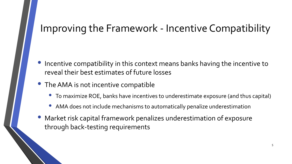#### Improving the Framework - Incentive Compatibility

- Incentive compatibility in this context means banks having the incentive to reveal their best estimates of future losses
- The AMA is not incentive compatible
	- To maximize ROE, banks have incentives to underestimate exposure (and thus capital)
	- AMA does not include mechanisms to automatically penalize underestimation
- Market risk capital framework penalizes underestimation of exposure through back-testing requirements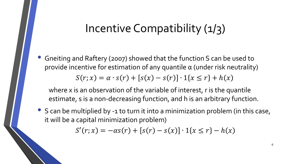#### Incentive Compatibility (1/3)

• Gneiting and Raftery (2007) showed that the function S can be used to provide incentive for estimation of any quantile  $\alpha$  (under risk neutrality)  $S(r; x) = \alpha \cdot s(r) + [s(x) - s(r)] \cdot 1\{x \le r\} + h(x)$ 

where x is an observation of the variable of interest, r is the quantile estimate, s is a non-decreasing function, and h is an arbitrary function.

• S can be multiplied by -1 to turn it into a minimization problem (in this case, it will be a capital minimization problem)

 $f(r; x) = -\alpha s(r) + [s(r) - s(x)] \cdot 1\{x \leq r\} - h(x)$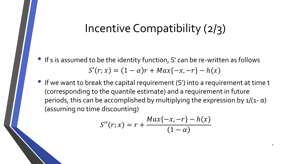#### Incentive Compatibility (2/3)

- If s is assumed to be the identity function, S' can be re-written as follows  $f(r; x) = (1 - \alpha)r + Max\{-x, -r\} - h(x)$
- If we want to break the capital requirement (S') into a requirement at time t (corresponding to the quantile estimate) and a requirement in future periods, this can be accomplished by multiplying the expression by  $\frac{1}{1-\alpha}$ ) (assuming no time discounting)

$$
S''(r; x) = r + \frac{Max\{-x, -r\} - h(x)}{(1 - \alpha)}
$$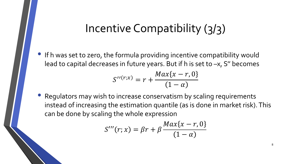#### Incentive Compatibility (3/3)

• If h was set to zero, the formula providing incentive compatibility would lead to capital decreases in future years. But if h is set to –x, S'' becomes

$$
S''^{(r;x)} = r + \frac{Max\{x - r, 0\}}{(1 - \alpha)}
$$

• Regulators may wish to increase conservatism by scaling requirements instead of increasing the estimation quantile (as is done in market risk). This can be done by scaling the whole expression

$$
S'''(r; x) = \beta r + \beta \frac{Max\{x - r, 0\}}{(1 - \alpha)}
$$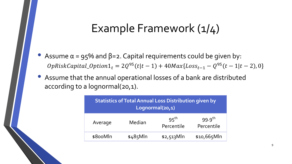#### Example Framework (1/4)

- Assume  $\alpha$  = 95% and  $\beta$ =2. Capital requirements could be given by:  $OpRiskCapital\_Option1_t = 2Q^{95}(t|t-1) + 40Max{Loss_{t-1}} - Q^{95}(t-1|t-2), 0$
- Assume that the annual operational losses of a bank are distributed according to a lognormal(20,1).

| <b>Statistics of Total Annual Loss Distribution given by</b><br>Lognormal(20,1) |            |                                |                                    |  |  |
|---------------------------------------------------------------------------------|------------|--------------------------------|------------------------------------|--|--|
| Average                                                                         | Median     | 95 <sup>th</sup><br>Percentile | $99.9$ <sup>th</sup><br>Percentile |  |  |
| \$800Mln                                                                        | $$485$ Mln | $$2,513$ Mln                   | $$10,665$ Mln                      |  |  |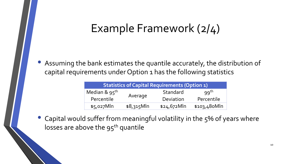## Example Framework (2/4)

• Assuming the bank estimates the quantile accurately, the distribution of capital requirements under Option 1 has the following statistics

| <b>Statistics of Capital Requirements (Option 1)</b> |              |               |              |  |  |
|------------------------------------------------------|--------------|---------------|--------------|--|--|
| Median & $95^{th}$                                   |              | Standard      | $qq^{th}$    |  |  |
| Percentile                                           | Average      | Deviation     | Percentile   |  |  |
| $$5,027$ Mln                                         | $$8,315$ Mln | $$24,672$ Mln | \$103,480Mln |  |  |

Capital would suffer from meaningful volatility in the 5% of years where losses are above the  $95<sup>th</sup>$  quantile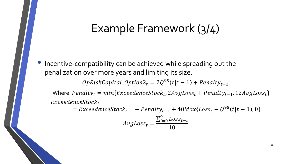#### Example Framework (3/4)

• Incentive-compatibility can be achieved while spreading out the penalization over more years and limiting its size.

 $OpRiskCapital\_Option2_t = 2Q^{95}(t|t-1) + Penalty_{t-1}$ 

Where:  $Penalty_t = min{Exceedencestock_t, 2AvgLoss_t + Penalty_{t-1}, 12AvgLoss_t}$  $Exceedences to  $ck_t$$ 

 $= Exceedence Stock_{t-1} - Penalty_{t-1} + 40 Max{Loss_t - Q^{95}(t|t-1), 0}$ 

$$
AvgLoss_t = \frac{\sum_{i=0}^{9} Loss_{t-i}}{10}
$$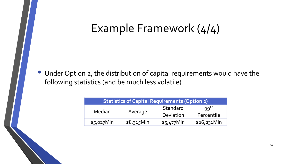### Example Framework (4/4)

• Under Option 2, the distribution of capital requirements would have the following statistics (and be much less volatile)

| <b>Statistics of Capital Requirements (Option 2)</b> |              |              |                  |  |  |
|------------------------------------------------------|--------------|--------------|------------------|--|--|
| Median                                               | Average      | Standard     | 99 <sup>th</sup> |  |  |
|                                                      |              | Deviation    | Percentile       |  |  |
| $$5,027$ Mln                                         | $$8,315$ Mln | $$5,477$ Mln | $$26,231$ Mln    |  |  |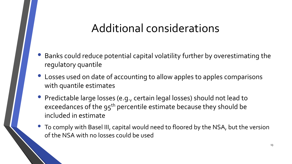## Additional considerations

- Banks could reduce potential capital volatility further by overestimating the regulatory quantile
- Losses used on date of accounting to allow apples to apples comparisons with quantile estimates
- Predictable large losses (e.g., certain legal losses) should not lead to exceedances of the 95<sup>th</sup> percentile estimate because they should be included in estimate
- To comply with Basel III, capital would need to floored by the NSA, but the version of the NSA with no losses could be used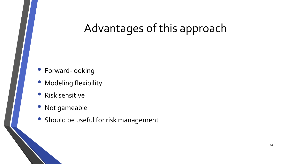# Advantages of this approach

- Forward-looking
- Modeling flexibility
- Risk sensitive
- Not gameable
- Should be useful for risk management